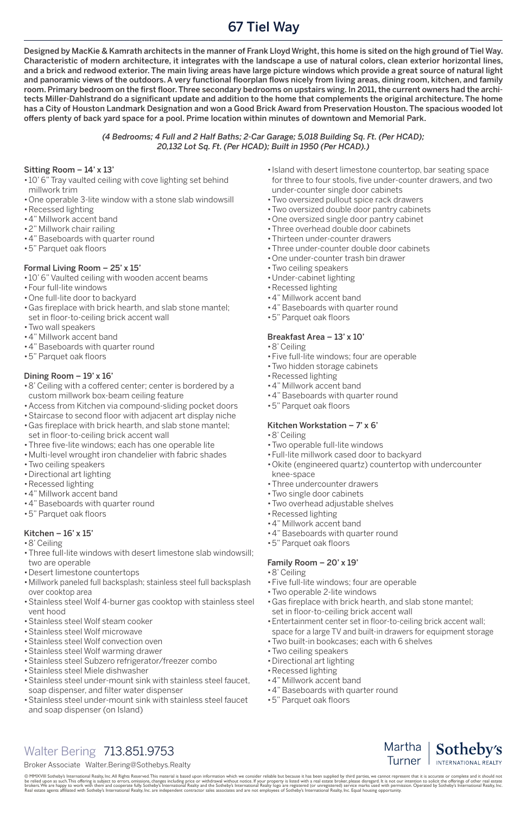# 67 Tiel Way

@ MMXVIII Sotheby's International Realty, Inc.All Rights Reserved.This material is based upon information which we consider reliable but because it has been supplied by third parties, we cannot represent that it is accurat be relied upon as such.This offering is subject to errors, omissions, changes including price or withdrawal without notice. If your property is listed with a real estate broker, please disregard. It is not our intention to Real estate agents affiliated with Sotheby's International Realty, Inc. are independent contractor sales associates and are not employees of Sotheby's International Realty, Inc. Equal housing opportunity.

Martha Sotheby's Turner INTERNATIONAL REALTY

## Walter Bering 713.851.9753

#### Broker Associate Walter.Bering@Sothebys.Realty

#### Sitting Room – 14' x 13'

- •10' 6" Tray vaulted ceiling with cove lighting set behind millwork trim
- •One operable 3-lite window with a stone slab windowsill
- •Recessed lighting
- •4" Millwork accent band
- •2" Millwork chair railing
- •4" Baseboards with quarter round
- •5" Parquet oak floors

#### Formal Living Room – 25' x 15'

- •10' 6" Vaulted ceiling with wooden accent beams
- •Four full-lite windows
- •One full-lite door to backyard
- •Gas fireplace with brick hearth, and slab stone mantel; set in floor-to-ceiling brick accent wall
- •Two wall speakers
- •4" Millwork accent band
- •4" Baseboards with quarter round
- •5" Parquet oak floors

#### Dining Room  $-19' \times 16'$

- •8' Ceiling with a coffered center; center is bordered by a custom millwork box-beam ceiling feature
- •Access from Kitchen via compound-sliding pocket doors
- •Staircase to second floor with adjacent art display niche
- •Gas fireplace with brick hearth, and slab stone mantel; set in floor-to-ceiling brick accent wall
- •Three five-lite windows; each has one operable lite
- •Multi-level wrought iron chandelier with fabric shades
- •Two ceiling speakers
- •Directional art lighting
- •Recessed lighting
- •4" Millwork accent band
- •4" Baseboards with quarter round
- •5" Parquet oak floors

#### Kitchen –  $16' \times 15'$

- •8' Ceiling
- •Three full-lite windows with desert limestone slab windowsill; two are operable
- •Desert limestone countertops
- •Millwork paneled full backsplash; stainless steel full backsplash over cooktop area
- •Island with desert limestone countertop, bar seating space for three to four stools, five under-counter drawers, and two under-counter single door cabinets
- •Two oversized pullout spice rack drawers
- •Two oversized double door pantry cabinets
- •One oversized single door pantry cabinet
- •Three overhead double door cabinets
- •Thirteen under-counter drawers
- •Three under-counter double door cabinets
- •One under-counter trash bin drawer
- •Two ceiling speakers
- •Under-cabinet lighting
- •Recessed lighting
- •4" Millwork accent band
- •4" Baseboards with quarter round
- •5" Parquet oak floors

#### Breakfast Area – 13' x 10'

- •8' Ceiling
- •Five full-lite windows; four are operable
- •Two hidden storage cabinets
- •Recessed lighting
- •4" Millwork accent band
- •4" Baseboards with quarter round
- •5" Parquet oak floors

#### Kitchen Workstation  $-7x$  6'

- •8' Ceiling
- •Two operable full-lite windows
- •Full-lite millwork cased door to backyard
- •Okite (engineered quartz) countertop with undercounter knee-space
- •Three undercounter drawers
- •Two single door cabinets
- •Two overhead adjustable shelves
- •Recessed lighting
- •4" Millwork accent band
- •4" Baseboards with quarter round
- •5" Parquet oak floors

#### Family Room – 20' x 19'

- •8' Ceiling
- •Five full-lite windows; four are operable
- •Two operable 2-lite windows
- •Stainless steel Wolf 4-burner gas cooktop with stainless steel vent hood
- •Stainless steel Wolf steam cooker
- •Stainless steel Wolf microwave
- •Stainless steel Wolf convection oven
- •Stainless steel Wolf warming drawer
- •Stainless steel Subzero refrigerator/freezer combo
- •Stainless steel Miele dishwasher
- •Stainless steel under-mount sink with stainless steel faucet, soap dispenser, and filter water dispenser
- •Stainless steel under-mount sink with stainless steel faucet and soap dispenser (on Island)
- •Gas fireplace with brick hearth, and slab stone mantel; set in floor-to-ceiling brick accent wall
- •Entertainment center set in floor-to-ceiling brick accent wall; space for a large TV and built-in drawers for equipment storage
- •Two built-in bookcases; each with 6 shelves
- •Two ceiling speakers
- •Directional art lighting
- •Recessed lighting
- •4" Millwork accent band
- •4" Baseboards with quarter round
- •5" Parquet oak floors

Designed by MacKie & Kamrath architects in the manner of Frank Lloyd Wright, this home is sited on the high ground of Tiel Way. Characteristic of modern architecture, it integrates with the landscape a use of natural colors, clean exterior horizontal lines, and a brick and redwood exterior. The main living areas have large picture windows which provide a great source of natural light and panoramic views of the outdoors. A very functional floorplan flows nicely from living areas, dining room, kitchen, and family room. Primary bedroom on the first floor. Three secondary bedrooms on upstairs wing. In 2011, the current owners had the architects Miller-Dahlstrand do a significant update and addition to the home that complements the original architecture. The home has a City of Houston Landmark Designation and won a Good Brick Award from Preservation Houston. The spacious wooded lot offers plenty of back yard space for a pool. Prime location within minutes of downtown and Memorial Park.

#### *(4 Bedrooms; 4 Full and 2 Half Baths; 2-Car Garage; 5,018 Building Sq. Ft. (Per HCAD); 20,132 Lot Sq. Ft. (Per HCAD); Built in 1950 (Per HCAD).)*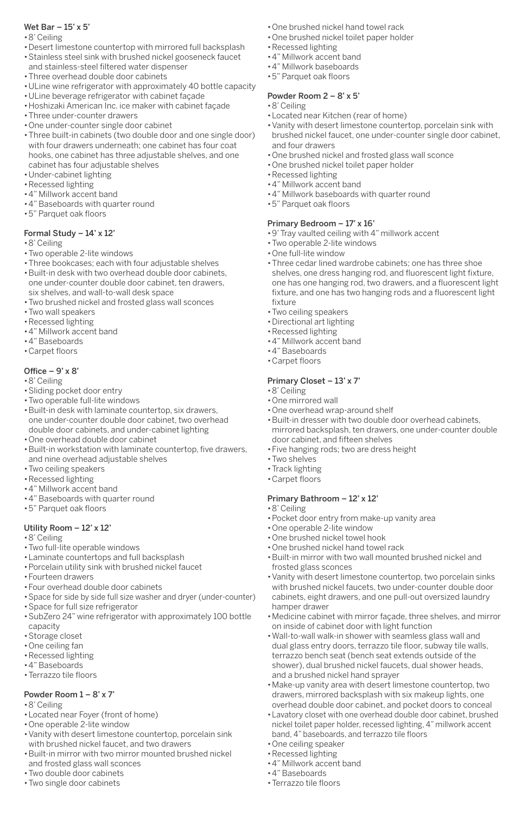#### Wet Bar  $-15' \times 5'$

- •8' Ceiling
- •Desert limestone countertop with mirrored full backsplash
- •Stainless steel sink with brushed nickel gooseneck faucet and stainless-steel filtered water dispenser
- •Three overhead double door cabinets
- •ULine wine refrigerator with approximately 40 bottle capacity
- •ULine beverage refrigerator with cabinet façade
- •Hoshizaki American Inc. ice maker with cabinet façade
- •Three under-counter drawers
- •One under-counter single door cabinet
- •Three built-in cabinets (two double door and one single door) with four drawers underneath; one cabinet has four coat hooks, one cabinet has three adjustable shelves, and one cabinet has four adjustable shelves
- •Under-cabinet lighting
- •Recessed lighting
- •4" Millwork accent band
- •4" Baseboards with quarter round
- •5" Parquet oak floors

#### Formal Study  $-14' \times 12'$

- •8' Ceiling
- •Two operable 2-lite windows
- •Three bookcases; each with four adjustable shelves
- •Built-in desk with two overhead double door cabinets, one under-counter double door cabinet, ten drawers, six shelves, and wall-to-wall desk space
- •Two brushed nickel and frosted glass wall sconces
- •Two wall speakers
- •Recessed lighting
- •4" Millwork accent band
- •4" Baseboards
- •Carpet floors

### Office  $-9' \times 8'$

- •8' Ceiling
- •Sliding pocket door entry
- •Two operable full-lite windows
- •Built-in desk with laminate countertop, six drawers, one under-counter double door cabinet, two overhead double door cabinets, and under-cabinet lighting
- •One overhead double door cabinet
- •Built-in workstation with laminate countertop, five drawers, and nine overhead adjustable shelves
- •Two ceiling speakers
- •Recessed lighting
- •4" Millwork accent band
- •4" Baseboards with quarter round
- •5" Parquet oak floors

### Utility Room – 12' x 12'

- •8' Ceiling
- •Two full-lite operable windows
- •Laminate countertops and full backsplash
- •Porcelain utility sink with brushed nickel faucet
- •Fourteen drawers
- •Four overhead double door cabinets
- •Space for side by side full size washer and dryer (under-counter)

#### Powder Room 1 – 8' x 7'

- •8' Ceiling
- •Located near Foyer (front of home)
- •One operable 2-lite window
- •Vanity with desert limestone countertop, porcelain sink with brushed nickel faucet, and two drawers
- •Built-in mirror with two mirror mounted brushed nickel and frosted glass wall sconces
- •Two double door cabinets
- •Two single door cabinets
- •One brushed nickel hand towel rack
- •One brushed nickel toilet paper holder
- •Recessed lighting
- •4" Millwork accent band
- •4" Millwork baseboards
- •5" Parquet oak floors

### Powder Room 2 – 8' x 5'

- •8' Ceiling
- •Located near Kitchen (rear of home)
- •Vanity with desert limestone countertop, porcelain sink with brushed nickel faucet, one under-counter single door cabinet, and four drawers
- •One brushed nickel and frosted glass wall sconce
- •One brushed nickel toilet paper holder
- •Recessed lighting
- •4" Millwork accent band
- •4" Millwork baseboards with quarter round
- •5" Parquet oak floors

- •8' Ceiling
- •Pocket door entry from make-up vanity area
- •One operable 2-lite window
- •One brushed nickel towel hook
- •One brushed nickel hand towel rack
- •Built-in mirror with two wall mounted brushed nickel and frosted glass sconces
- •Vanity with desert limestone countertop, two porcelain sinks with brushed nickel faucets, two under-counter double door cabinets, eight drawers, and one pull-out oversized laundry hamper drawer
- •Space for full size refrigerator
- •SubZero 24" wine refrigerator with approximately 100 bottle capacity
- •Storage closet
- •One ceiling fan
- •Recessed lighting
- •4" Baseboards
- •Terrazzo tile floors

#### Primary Bedroom – 17' x 16'

- •9' Tray vaulted ceiling with 4" millwork accent
- •Two operable 2-lite windows
- •One full-lite window
- •Three cedar lined wardrobe cabinets; one has three shoe shelves, one dress hanging rod, and fluorescent light fixture, one has one hanging rod, two drawers, and a fluorescent light fixture, and one has two hanging rods and a fluorescent light fixture
- •Two ceiling speakers
- •Directional art lighting
- •Recessed lighting
- •4" Millwork accent band
- •4" Baseboards
- •Carpet floors

## Primary Closet – 13' x 7'

- •8' Ceiling
- •One mirrored wall
- •One overhead wrap-around shelf
- •Built-in dresser with two double door overhead cabinets, mirrored backsplash, ten drawers, one under-counter double door cabinet, and fifteen shelves
- •Five hanging rods; two are dress height
- •Two shelves
- •Track lighting
- •Carpet floors

### Primary Bathroom – 12' x 12'

- •Medicine cabinet with mirror façade, three shelves, and mirror on inside of cabinet door with light function
- •Wall-to-wall walk-in shower with seamless glass wall and dual glass entry doors, terrazzo tile floor, subway tile walls, terrazzo bench seat (bench seat extends outside of the shower), dual brushed nickel faucets, dual shower heads, and a brushed nickel hand sprayer
- •Make-up vanity area with desert limestone countertop, two drawers, mirrored backsplash with six makeup lights, one overhead double door cabinet, and pocket doors to conceal
- •Lavatory closet with one overhead double door cabinet, brushed nickel toilet paper holder, recessed lighting, 4" millwork accent band, 4" baseboards, and terrazzo tile floors
- •One ceiling speaker
- •Recessed lighting
- •4" Millwork accent band
- •4" Baseboards
- •Terrazzo tile floors